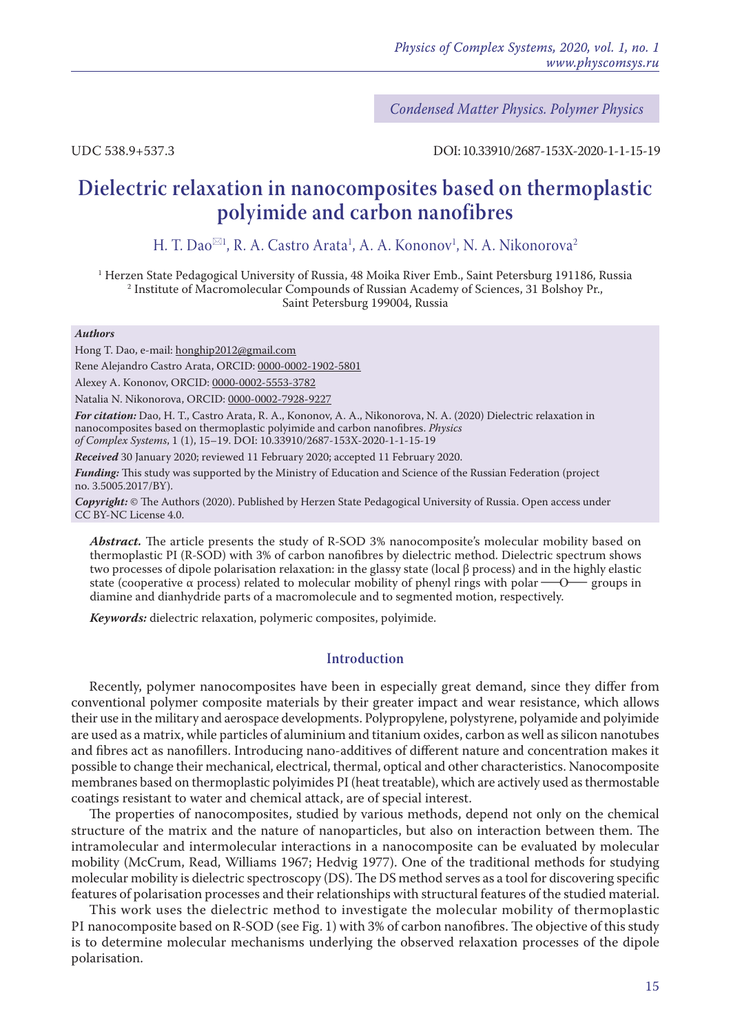*Condensed Matter Physics. Polymer Physics*

UDC 538.9+537.3 DOI: 10.33910/2687-153X-2020-1-1-15-19

# **Dielectric relaxation in nanocomposites based on thermoplastic polyimide and carbon nanofibres**

H. T. Dao<sup>⊠1</sup>, R. A. Castro Arata<sup>1</sup>, A. A. Kononov<sup>1</sup>, N. A. Nikonorova<sup>2</sup>

1 Herzen State Pedagogical University of Russia, 48 Moika River Emb., Saint Petersburg 191186, Russia 2 Institute of Macromolecular Compounds of Russian Academy of Sciences, 31 Bolshoy Pr., Saint Petersburg 199004, Russia

#### *Authors*

Hong T. Dao, e-mail: honghip2012@gmail.com

Rene Alejandro Castro Arata, ORCID: [0000-0002-1902-5801](https://orcid.org/0000-0002-1902-5801)

Alexey A. Kononov, ORCID: [0000-0002-5553-3782](https://orcid.org/0000-0002-5553-3782)

Natalia N. Nikonorova, ORCID: [0000-0002-7928-9227](https://orcid.org/0000-0002-7928-9227)

*For citation:* Dao, H. T., Castro Arata, R. A., Kononov, A. A., Nikonorova, N. A. (2020) Dielectric relaxation in nanocomposites based on thermoplastic polyimide and carbon nanofibres. *Physics of Complex Systems*, 1 (1), 15–19. DOI: 10.33910/2687-153X-2020-1-1-15-19

*Received* 30 January 2020; reviewed 11 February 2020; accepted 11 February 2020.

*Funding:* This study was supported by the Ministry of Education and Science of the Russian Federation (project no. 3.5005.2017/BY).

*Copyright:* © The Authors (2020). Published by Herzen State Pedagogical University of Russia. Open access under [CC BY-NC License 4.0.](https://creativecommons.org/licenses/by-nc/4.0/)

*Abstract.* The article presents the study of R-SOD 3% nanocomposite's molecular mobility based on thermoplastic PI (R-SOD) with 3% of carbon nanofibres by dielectric method. Dielectric spectrum shows two processes of dipole polarisation relaxation: in the glassy state (local β process) and in the highly elastic<br>state (cooperative  $\alpha$  process) related to molecular mobility of phenyl rings with polar — O— groups in state (cooperative  $\alpha$  process) related to molecular mobility of phenyl rings with polar  $\sim$ O diamine and dianhydride parts of a macromolecule and to segmented motion, respectively.

*Keywords:* dielectric relaxation, polymeric composites, polyimide.

## **Introduction**

Recently, polymer nanocomposites have been in especially great demand, since they differ from conventional polymer composite materials by their greater impact and wear resistance, which allows their use in the military and aerospace developments. Polypropylene, polystyrene, polyamide and polyimide are used as a matrix, while particles of aluminium and titanium oxides, carbon as well as silicon nanotubes and fibres act as nanofillers. Introducing nano-additives of different nature and concentration makes it possible to change their mechanical, electrical, thermal, optical and other characteristics. Nanocomposite membranes based on thermoplastic polyimides PI (heat treatable), which are actively used as thermostable coatings resistant to water and chemical attack, are of special interest.

The properties of nanocomposites, studied by various methods, depend not only on the chemical structure of the matrix and the nature of nanoparticles, but also on interaction between them. The intramolecular and intermolecular interactions in a nanocomposite can be evaluated by molecular mobility (McCrum, Read, Williams 1967; Hedvig 1977). One of the traditional methods for studying molecular mobility is dielectric spectroscopy (DS). The DS method serves as a tool for discovering specific features of polarisation processes and their relationships with structural features of the studied material.

This work uses the dielectric method to investigate the molecular mobility of thermoplastic PI nanocomposite based on R-SOD (see Fig. 1) with 3% of carbon nanofibres. The objective of this study is to determine molecular mechanisms underlying the observed relaxation processes of the dipole polarisation.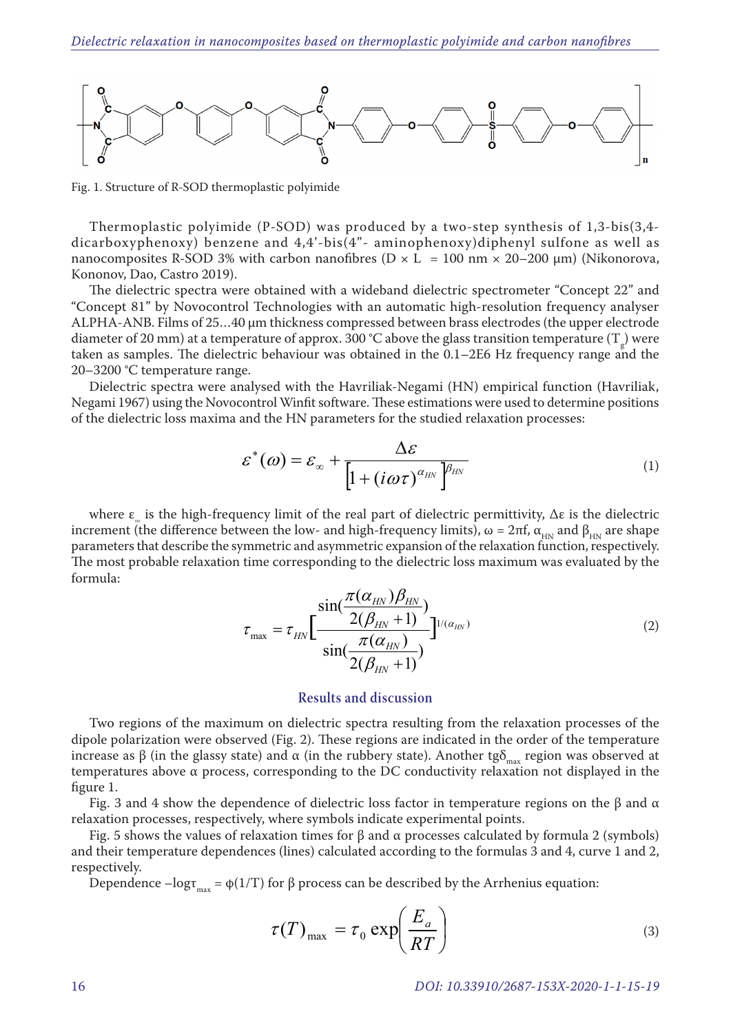

Fig. 1. Structure of R-SOD thermoplastic polyimide

Thermoplastic polyimide (P-SOD) was produced by a two-step synthesis of 1,3-bis(3,4 dicarboxyphenoxy) benzene and 4,4'-bis(4"- aminophenoxy)diphenyl sulfone as well as nanocomposites R-SOD 3% with carbon nanofibres ( $D \times L = 100$  nm  $\times$  20–200  $\mu$ m) (Nikonorova, Kononov, Dao, Castro 2019).

The dielectric spectra were obtained with a wideband dielectric spectrometer "Concept 22" and "Concept 81" by Novocontrol Technologies with an automatic high-resolution frequency analyser ALPHA-ANB. Films of 25…40 μm thickness compressed between brass electrodes (the upper electrode diameter of 20 mm) at a temperature of approx. 300 °C above the glass transition temperature  $(T_g)$  were taken as samples. The dielectric behaviour was obtained in the 0.1–2E6 Hz frequency range and the 20–3200 °C temperature range.

Dielectric spectra were analysed with the Havriliak-Negami (HN) empirical function (Havriliak, Negami 1967) using the Novocontrol Winfit software. These estimations were used to determine positions of the dielectric loss maxima and the HN parameters for the studied relaxation processes:

$$
\varepsilon^*(\omega) = \varepsilon_{\infty} + \frac{\Delta \varepsilon}{\left[1 + (i\omega\tau)^{\alpha_{HN}}\right]^{\beta_{HN}}}
$$
(1)

where  $\varepsilon_{\mu}$  is the high-frequency limit of the real part of dielectric permittivity,  $\Delta \varepsilon$  is the dielectric increment (the difference between the low- and high-frequency limits),  $ω = 2πf$ ,  $α_{HN}$  and  $β_{HN}$  are shape parameters that describe the symmetric and asymmetric expansion of the relaxation function, respectively. The most probable relaxation time corresponding to the dielectric loss maximum was evaluated by the formula:

$$
\tau_{\max} = \tau_{HN} \left[ \frac{\sin(\frac{\pi(\alpha_{HN})\beta_{HN}}{2(\beta_{HN}+1)})}{\sin(\frac{\pi(\alpha_{HN})}{2(\beta_{HN}+1)})} \right]^{1/(\alpha_{HN})}
$$
(2)

## **Results and discussion**

Two regions of the maximum on dielectric spectra resulting from the relaxation processes of the dipole polarization were observed (Fig. 2). These regions are indicated in the order of the temperature increase as β (in the glassy state) and  $\alpha$  (in the rubbery state). Another tgδ<sub>max</sub> region was observed at temperatures above α process, corresponding to the DC conductivity relaxation not displayed in the figure 1.

Fig. 3 and 4 show the dependence of dielectric loss factor in temperature regions on the β and  $\alpha$ relaxation processes, respectively, where symbols indicate experimental points.

Fig. 5 shows the values of relaxation times for  $β$  and  $α$  processes calculated by formula 2 (symbols) and their temperature dependences (lines) calculated according to the formulas 3 and 4, curve 1 and 2, respectively.

Dependence – $\log_{\tau_{\text{max}}}$  = φ(1/T) for β process can be described by the Arrhenius equation:

$$
\tau(T)_{\text{max}} = \tau_0 \exp\left(\frac{E_a}{RT}\right) \tag{3}
$$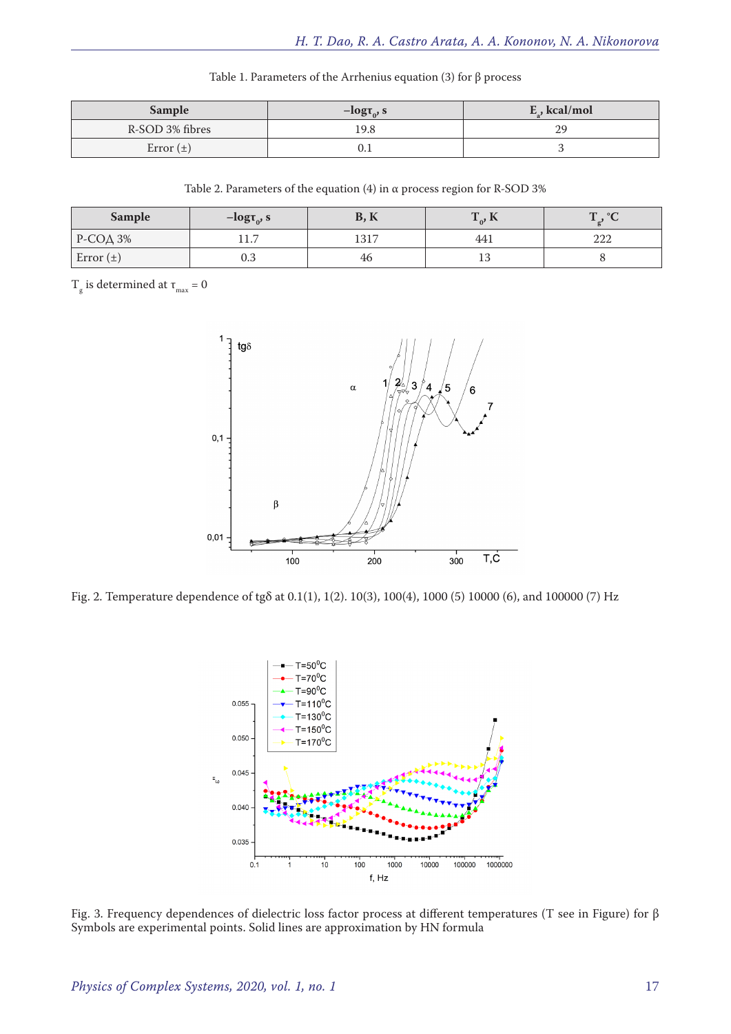| <b>Sample</b>   | $-\text{log} \tau_0$ , s | $E_{\nu}$ , kcal/mol |
|-----------------|--------------------------|----------------------|
| R-SOD 3% fibres | 19.8                     | 29                   |
| Error $(\pm)$   |                          |                      |

Table 1. Parameters of the Arrhenius equation (3) for β process

| Table 2. Parameters of the equation (4) in $\alpha$ process region for R-SOD 3% |  |
|---------------------------------------------------------------------------------|--|
|---------------------------------------------------------------------------------|--|

| <b>Sample</b>   | $-\text{log} \tau_{0}$ , s    | $\mathbf{r}$<br>D<br>D, N | $\mathbf{r}$<br>$\mathbf{H}$<br>$\mathbf{r}^0$ , $\mathbf{r}$ | $\circ$<br>$\mathbf{H}$<br>-4. - |
|-----------------|-------------------------------|---------------------------|---------------------------------------------------------------|----------------------------------|
| $P-CO\Delta$ 3% | $\overline{ }$<br><b>11.7</b> | 1217                      | 441                                                           | ററ<br>∠∠∠                        |
| Error $(\pm)$   | 0.3                           | 46                        | 10                                                            |                                  |

 $T_{\rm g}$  is determined at  $\tau_{\rm max} = 0$ 



Fig. 2. Temperature dependence of tgδ at 0.1(1), 1(2). 10(3), 100(4), 1000 (5) 10000 (6), and 100000 (7) Hz



Fig. 3. Frequency dependences of dielectric loss factor process at different temperatures (T see in Figure) for β Symbols are experimental points. Solid lines are approximation by HN formula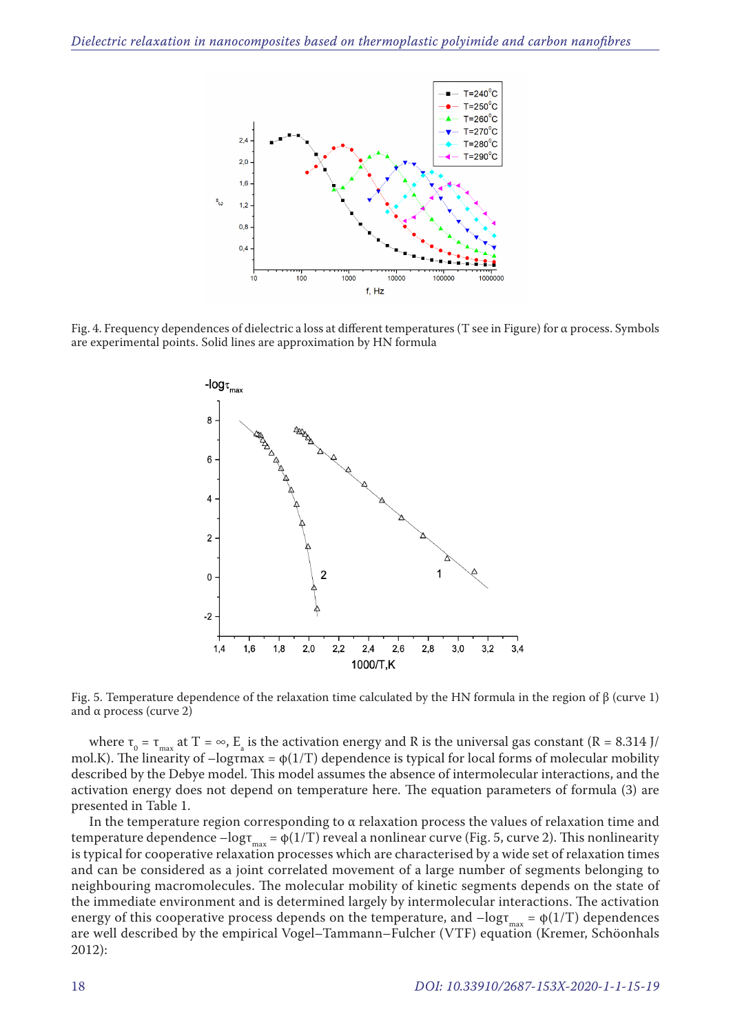

Fig. 4. Frequency dependences of dielectric a loss at different temperatures (T see in Figure) for α process. Symbols are experimental points. Solid lines are approximation by HN formula



Fig. 5. Temperature dependence of the relaxation time calculated by the HN formula in the region of β (curve 1) and  $\alpha$  process (curve 2)

where  $\tau_0 = \tau_{\text{max}}$  at T =  $\infty$ , E<sub>a</sub> is the activation energy and R is the universal gas constant (R = 8.314 J/ mol.K). The linearity of  $-\text{logrmax} = \phi(1/T)$  dependence is typical for local forms of molecular mobility described by the Debye model. This model assumes the absence of intermolecular interactions, and the activation energy does not depend on temperature here. The equation parameters of formula (3) are presented in Table 1.

In the temperature region corresponding to  $\alpha$  relaxation process the values of relaxation time and temperature dependence  $-\log_{\tau_{\text{max}}} = \phi(1/T)$  reveal a nonlinear curve (Fig. 5, curve 2). This nonlinearity is typical for cooperative relaxation processes which are characterised by a wide set of relaxation times and can be considered as a joint correlated movement of a large number of segments belonging to neighbouring macromolecules. The molecular mobility of kinetic segments depends on the state of the immediate environment and is determined largely by intermolecular interactions. The activation energy of this cooperative process depends on the temperature, and  $-\log_{\tau_{\text{max}}} = \phi(1/T)$  dependences are well described by the empirical Vogel–Tammann–Fulcher (VTF) equation (Kremer, Schöonhals 2012):